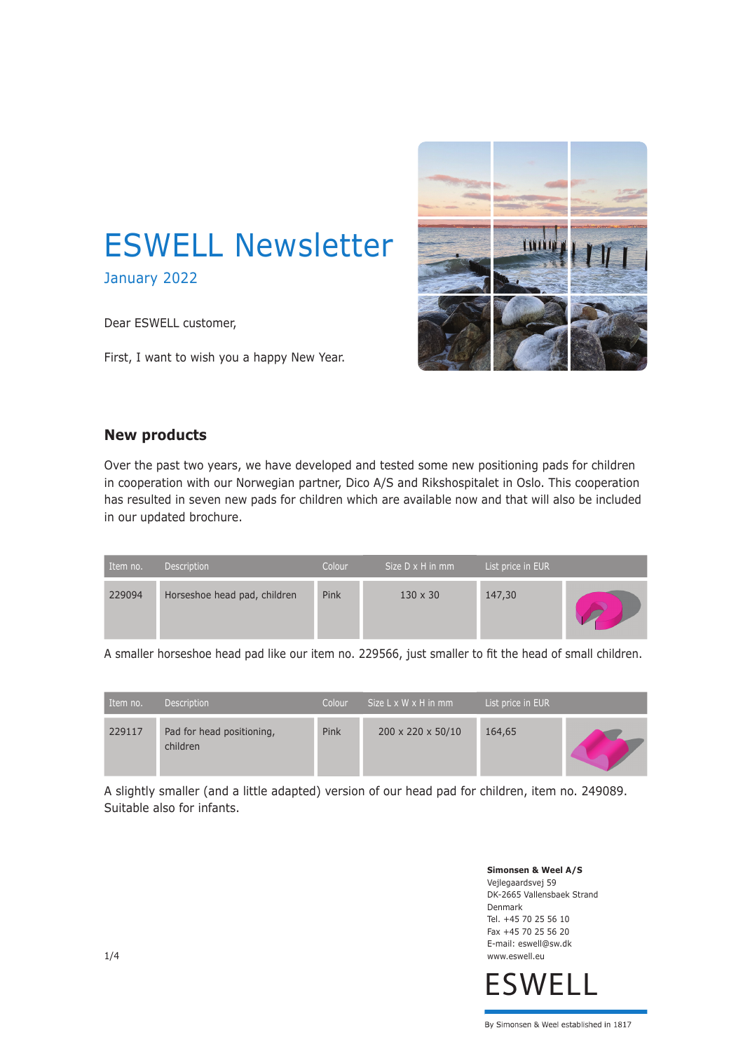

January 2022

Dear ESWELL customer,

First, I want to wish you a happy New Year.



# **New products**

Over the past two years, we have developed and tested some new positioning pads for children in cooperation with our Norwegian partner, Dico A/S and Rikshospitalet in Oslo. This cooperation has resulted in seven new pads for children which are available now and that will also be included in our updated brochure.

| Item no. | <b>Description</b>           | Colour | Size $D \times H$ in mm | List price in EUR |  |
|----------|------------------------------|--------|-------------------------|-------------------|--|
| 229094   | Horseshoe head pad, children | Pink   | $130 \times 30$         | 147,30            |  |

A smaller horseshoe head pad like our item no. 229566, just smaller to fit the head of small children.

| Item no. | <b>Description</b>                    | Colour | Size $L \times W \times H$ in mm | List price in EUR |  |
|----------|---------------------------------------|--------|----------------------------------|-------------------|--|
| 229117   | Pad for head positioning,<br>children | Pink   | 200 x 220 x 50/10                | 164,65            |  |

A slightly smaller (and a little adapted) version of our head pad for children, item no. 249089. Suitable also for infants.

> **Simonsen & Weel A/S** Vejlegaardsvej 59 DK-2665 Vallensbaek Strand Denmark Tel. +45 70 25 56 10 Fax +45 70 25 56 20 E-mail: eswell@sw.dk www.eswell.eu

**ESWELL**

By Simonsen & Weel established in 1817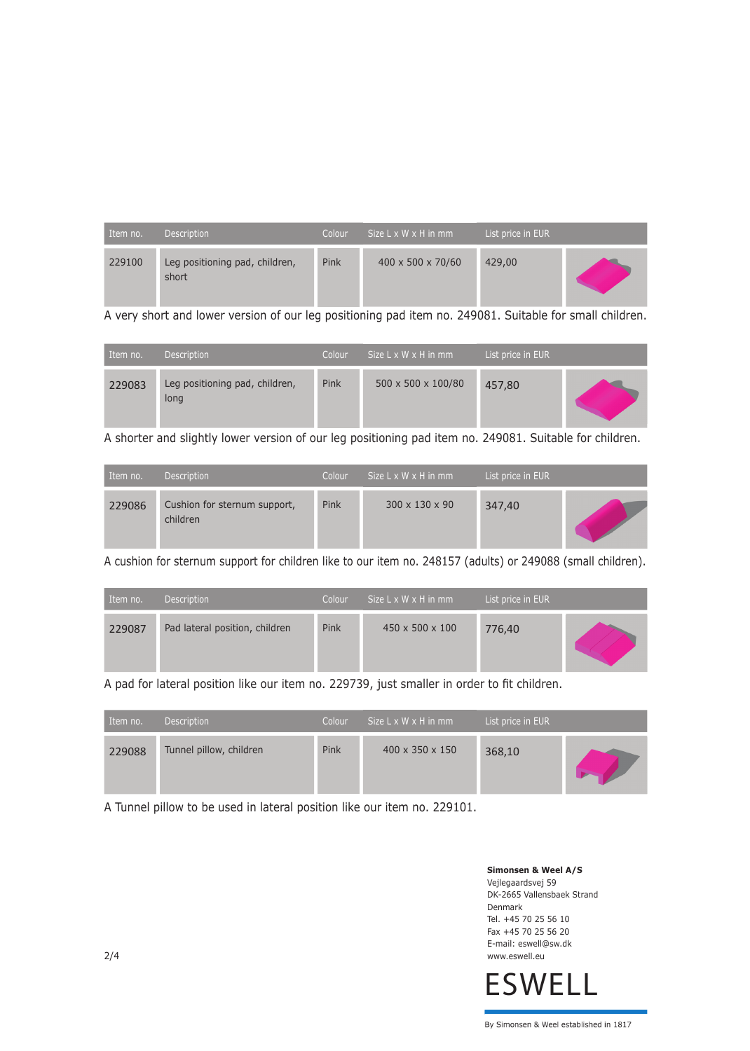| Item no. | Description                             | Colour | Size $L \times W \times H$ in mm | List price in EUR |  |
|----------|-----------------------------------------|--------|----------------------------------|-------------------|--|
| 229100   | Leg positioning pad, children,<br>short | Pink   | $400 \times 500 \times 70/60$    | 429,00            |  |

A very short and lower version of our leg positioning pad item no. 249081. Suitable for small children.

| Item no. | <b>Description</b>                     | Colour | Size $L \times W \times H$ in mm | List price in EUR |  |
|----------|----------------------------------------|--------|----------------------------------|-------------------|--|
| 229083   | Leg positioning pad, children,<br>long | Pink   | 500 x 500 x 100/80               | 457,80            |  |

A shorter and slightly lower version of our leg positioning pad item no. 249081. Suitable for children.

| Item no. | Description                              | Colour | Size $L \times W \times H$ in mm | List price in EUR |  |
|----------|------------------------------------------|--------|----------------------------------|-------------------|--|
| 229086   | Cushion for sternum support,<br>children | Pink   | 300 x 130 x 90                   | 347,40            |  |

A cushion for sternum support for children like to our item no. 248157 (adults) or 249088 (small children).

| Item no. | <b>Description</b>             | Colour | $Size L \times W \times H$ in mm | List price in EUR |  |
|----------|--------------------------------|--------|----------------------------------|-------------------|--|
| 229087   | Pad lateral position, children | Pink   | $450 \times 500 \times 100$      | 776,40            |  |

A pad for lateral position like our item no. 229739, just smaller in order to fit children.

| Item no. | Description             | Colour | Size $L \times W \times H$ in mm | List price in EUR |  |
|----------|-------------------------|--------|----------------------------------|-------------------|--|
| 229088   | Tunnel pillow, children | Pink   | $400 \times 350 \times 150$      | 368,10            |  |

A Tunnel pillow to be used in lateral position like our item no. 229101.

**Simonsen & Weel A/S** Vejlegaardsvej 59 DK-2665 Vallensbaek Strand Denmark Tel. +45 70 25 56 10 Fax +45 70 25 56 20 E-mail: eswell@sw.dk www.eswell.eu

**ESWELL**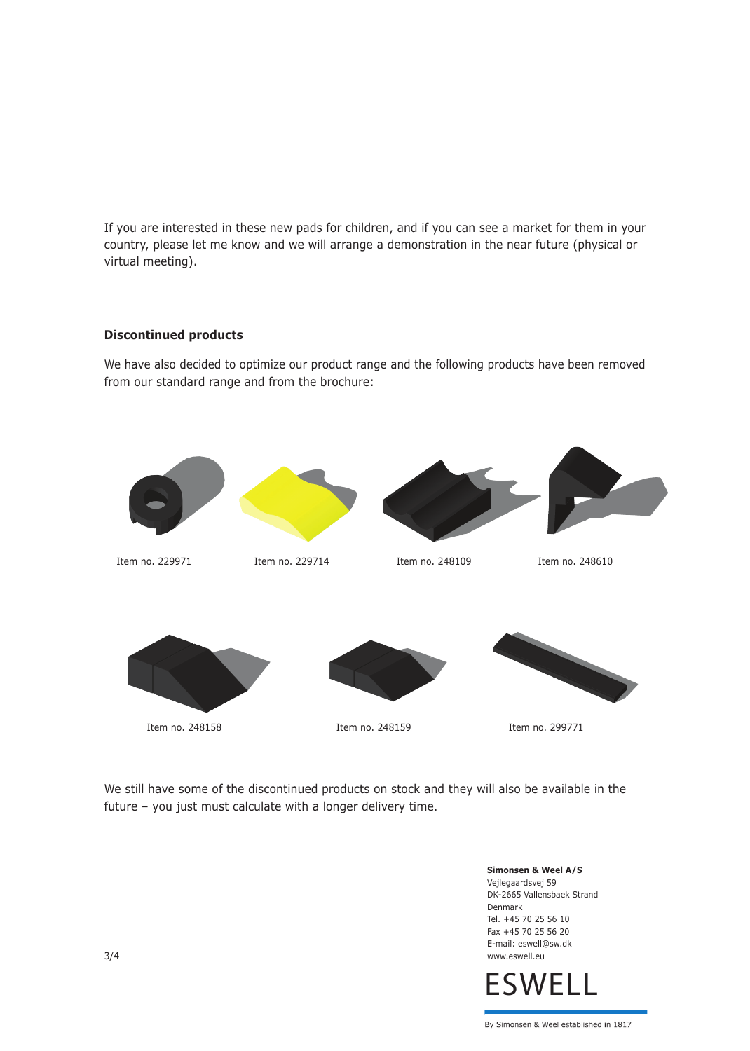If you are interested in these new pads for children, and if you can see a market for them in your country, please let me know and we will arrange a demonstration in the near future (physical or virtual meeting).

#### **Discontinued products**

We have also decided to optimize our product range and the following products have been removed from our standard range and from the brochure:



We still have some of the discontinued products on stock and they will also be available in the future – you just must calculate with a longer delivery time.

> **Simonsen & Weel A/S** Vejlegaardsvej 59 DK-2665 Vallensbaek Strand Denmark Tel. +45 70 25 56 10 Fax +45 70 25 56 20 E-mail: eswell@sw.dk www.eswell.eu